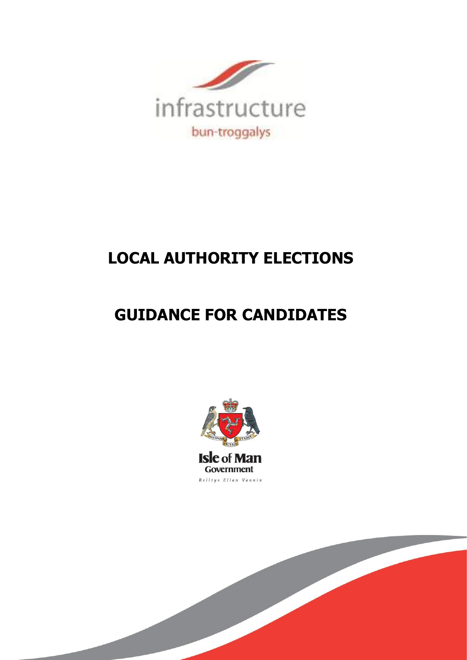

# **LOCAL AUTHORITY ELECTIONS**

# **GUIDANCE FOR CANDIDATES**

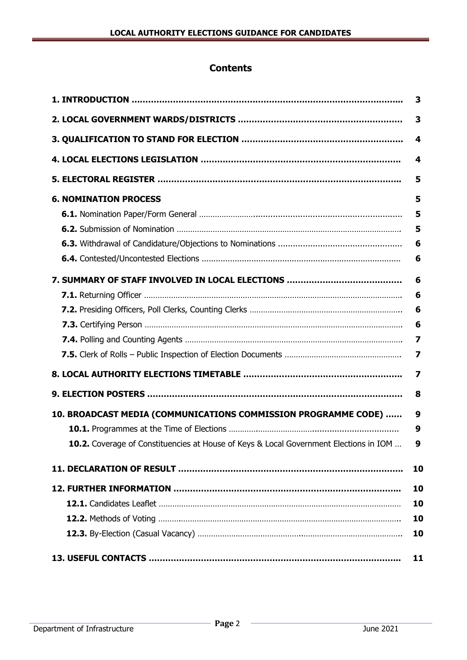# **Contents**

|                                                                                       | 3                       |
|---------------------------------------------------------------------------------------|-------------------------|
|                                                                                       | 3                       |
|                                                                                       | 4                       |
|                                                                                       | 4                       |
|                                                                                       | 5                       |
| <b>6. NOMINATION PROCESS</b>                                                          | 5                       |
|                                                                                       | 5                       |
|                                                                                       | 5                       |
|                                                                                       | 6                       |
|                                                                                       | 6                       |
|                                                                                       | 6                       |
|                                                                                       | 6                       |
|                                                                                       | 6                       |
|                                                                                       | 6                       |
|                                                                                       | 7                       |
|                                                                                       | 7                       |
|                                                                                       | $\overline{\mathbf{z}}$ |
|                                                                                       | 8                       |
| 10. BROADCAST MEDIA (COMMUNICATIONS COMMISSION PROGRAMME CODE)                        | 9                       |
|                                                                                       | 9                       |
| 10.2. Coverage of Constituencies at House of Keys & Local Government Elections in IOM | 9                       |
|                                                                                       | 10                      |
|                                                                                       | 10                      |
|                                                                                       | 10                      |
|                                                                                       | 10                      |
|                                                                                       | 10                      |
|                                                                                       | 11                      |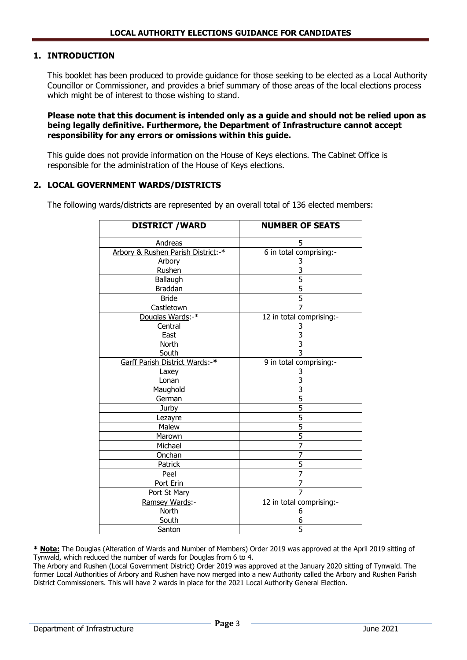# **1. INTRODUCTION**

This booklet has been produced to provide guidance for those seeking to be elected as a Local Authority Councillor or Commissioner, and provides a brief summary of those areas of the local elections process which might be of interest to those wishing to stand.

**Please note that this document is intended only as a guide and should not be relied upon as being legally definitive. Furthermore, the Department of Infrastructure cannot accept responsibility for any errors or omissions within this guide.** 

This guide does not provide information on the House of Keys elections. The Cabinet Office is responsible for the administration of the House of Keys elections.

#### **2. LOCAL GOVERNMENT WARDS/DISTRICTS**

The following wards/districts are represented by an overall total of 136 elected members:

| <b>DISTRICT / WARD</b>             | <b>NUMBER OF SEATS</b>   |
|------------------------------------|--------------------------|
| Andreas                            | 5                        |
| Arbory & Rushen Parish District:-* | 6 in total comprising:-  |
| Arbory                             | 3                        |
| Rushen                             | 3                        |
| Ballaugh                           | $\overline{5}$           |
| <b>Braddan</b>                     | 5                        |
| <b>Bride</b>                       | $\overline{5}$           |
| Castletown                         | $\overline{7}$           |
| Douglas Wards:-*                   | 12 in total comprising:- |
| Central                            | 3                        |
| East                               | $\frac{3}{3}$            |
| North                              |                          |
| South                              |                          |
| Garff Parish District Wards:-*     | 9 in total comprising:-  |
| Laxey                              | 3                        |
| Lonan                              | 3                        |
| Maughold                           | 3                        |
| German                             | $\overline{5}$           |
| Jurby                              | 5                        |
| Lezayre                            | $\overline{5}$           |
| Malew                              | $\overline{5}$           |
| Marown                             | $\overline{5}$           |
| Michael                            | $\overline{7}$           |
| Onchan                             | $\overline{7}$           |
| Patrick                            | 5                        |
| Peel                               | $\overline{7}$           |
| Port Erin                          | $\overline{7}$           |
| Port St Mary                       | $\overline{7}$           |
| Ramsey Wards:-                     | 12 in total comprising:- |
| North                              | 6                        |
| South                              | 6                        |
| Santon                             | $\overline{5}$           |

**\* Note:** The [Douglas \(Alteration of Wards and Number of Members\) Order 2019](https://www.gov.im/media/1366292/douglas-alteration-of-wards-and-number-of-members-order-2019.pdf) was approved at the April 2019 sitting of Tynwald, which reduced the number of wards for Douglas from 6 to 4.

The Arbory and Rushen (Local Government District) Order 2019 was approved at the January 2020 sitting of Tynwald. The former Local Authorities of Arbory and Rushen have now merged into a new Authority called the Arbory and Rushen Parish District Commissioners. This will have 2 wards in place for the 2021 Local Authority General Election.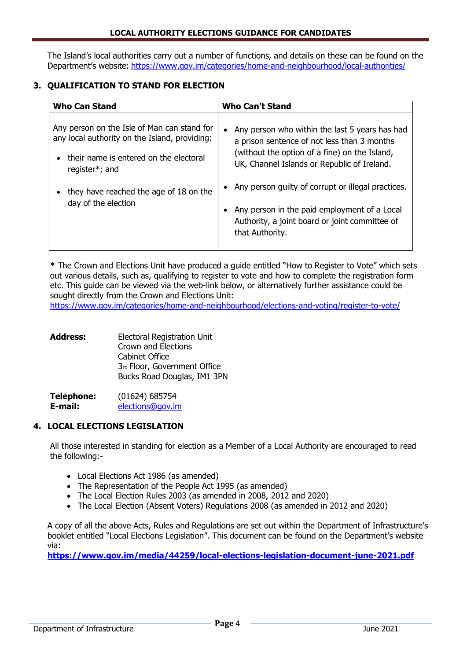The Island's local authorities carry out a number of functions, and details on these can be found on the Department's website: <https://www.gov.im/categories/home-and-neighbourhood/local-authorities/>

# **3. QUALIFICATION TO STAND FOR ELECTION**

| <b>Who Can Stand</b>                                                                                                                                     | <b>Who Can't Stand</b>                                                                                                                                                                                     |
|----------------------------------------------------------------------------------------------------------------------------------------------------------|------------------------------------------------------------------------------------------------------------------------------------------------------------------------------------------------------------|
| Any person on the Isle of Man can stand for<br>any local authority on the Island, providing:<br>their name is entered on the electoral<br>register*; and | Any person who within the last 5 years has had<br>$\bullet$<br>a prison sentence of not less than 3 months<br>(without the option of a fine) on the Island,<br>UK, Channel Islands or Republic of Ireland. |
| they have reached the age of 18 on the<br>day of the election                                                                                            | Any person guilty of corrupt or illegal practices.<br>Any person in the paid employment of a Local<br>$\bullet$<br>Authority, a joint board or joint committee of<br>that Authority.                       |

**\*** The Crown and Elections Unit have produced a guide entitled "How to Register to Vote" which sets out various details, such as, qualifying to register to vote and how to complete the registration form etc. This guide can be viewed via the web-link below, or alternatively further assistance could be sought directly from the Crown and Elections Unit:

<https://www.gov.im/categories/home-and-neighbourhood/elections-and-voting/register-to-vote/>

| <b>Address:</b> | <b>Electoral Registration Unit</b> |
|-----------------|------------------------------------|
|                 | <b>Crown and Elections</b>         |
|                 | Cabinet Office                     |
|                 | 3rd Floor, Government Office       |
|                 | Bucks Road Douglas, IM1 3PN        |
|                 |                                    |

| <b>Telephone:</b> | (01624) 685754   |
|-------------------|------------------|
| E-mail:           | elections@gov.im |

# **4. LOCAL ELECTIONS LEGISLATION**

All those interested in standing for election as a Member of a Local Authority are encouraged to read the following:-

- Local Elections Act 1986 (as amended)
- The Representation of the People Act 1995 (as amended)
- The Local Election Rules 2003 (as amended in 2008, 2012 and 2020)
- The Local Election (Absent Voters) Regulations 2008 (as amended in 2012 and 2020)

A copy of all the above Acts, Rules and Regulations are set out within the Department of Infrastructure's booklet entitled "Local Elections Legislation". This document can be found on the Department's website via:

**<https://www.gov.im/media/44259/local-elections-legislation-document-june-2021.pdf>**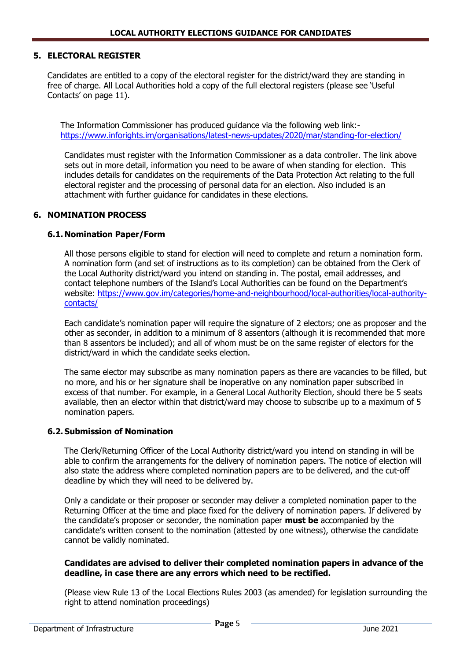# **5. ELECTORAL REGISTER**

Candidates are entitled to a copy of the electoral register for the district/ward they are standing in free of charge. All Local Authorities hold a copy of the full electoral registers (please see 'Useful Contacts' on page 11).

 The Information Commissioner has produced guidance via the following web link: <https://www.inforights.im/organisations/latest-news-updates/2020/mar/standing-for-election/>

Candidates must register with the Information Commissioner as a data controller. The link above sets out in more detail, information you need to be aware of when standing for election. This includes details for candidates on the requirements of the Data Protection Act relating to the full electoral register and the processing of personal data for an election. Also included is an attachment with further guidance for candidates in these elections.

#### **6. NOMINATION PROCESS**

#### **6.1. Nomination Paper/Form**

All those persons eligible to stand for election will need to complete and return a nomination form. A nomination form (and set of instructions as to its completion) can be obtained from the Clerk of the Local Authority district/ward you intend on standing in. The postal, email addresses, and contact telephone numbers of the Island's Local Authorities can be found on the Department's website: [https://www.gov.im/categories/home-and-neighbourhood/local-authorities/local-authority](https://www.gov.im/categories/home-and-neighbourhood/local-authorities/local-authority-contacts/)[contacts/](https://www.gov.im/categories/home-and-neighbourhood/local-authorities/local-authority-contacts/)

Each candidate's nomination paper will require the signature of 2 electors; one as proposer and the other as seconder, in addition to a minimum of 8 assentors (although it is recommended that more than 8 assentors be included); and all of whom must be on the same register of electors for the district/ward in which the candidate seeks election.

The same elector may subscribe as many nomination papers as there are vacancies to be filled, but no more, and his or her signature shall be inoperative on any nomination paper subscribed in excess of that number. For example, in a General Local Authority Election, should there be 5 seats available, then an elector within that district/ward may choose to subscribe up to a maximum of 5 nomination papers.

#### **6.2.Submission of Nomination**

The Clerk/Returning Officer of the Local Authority district/ward you intend on standing in will be able to confirm the arrangements for the delivery of nomination papers. The notice of election will also state the address where completed nomination papers are to be delivered, and the cut-off deadline by which they will need to be delivered by.

Only a candidate or their proposer or seconder may deliver a completed nomination paper to the Returning Officer at the time and place fixed for the delivery of nomination papers. If delivered by the candidate's proposer or seconder, the nomination paper **must be** accompanied by the candidate's written consent to the nomination (attested by one witness), otherwise the candidate cannot be validly nominated.

#### **Candidates are advised to deliver their completed nomination papers in advance of the deadline, in case there are any errors which need to be rectified.**

(Please view Rule 13 of the Local Elections Rules 2003 (as amended) for legislation surrounding the right to attend nomination proceedings)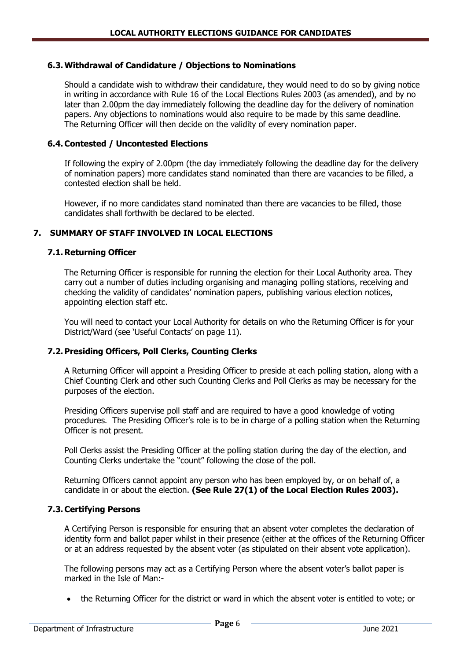#### **6.3.Withdrawal of Candidature / Objections to Nominations**

Should a candidate wish to withdraw their candidature, they would need to do so by giving notice in writing in accordance with Rule 16 of the Local Elections Rules 2003 (as amended), and by no later than 2.00pm the day immediately following the deadline day for the delivery of nomination papers. Any objections to nominations would also require to be made by this same deadline. The Returning Officer will then decide on the validity of every nomination paper.

#### **6.4.Contested / Uncontested Elections**

If following the expiry of 2.00pm (the day immediately following the deadline day for the delivery of nomination papers) more candidates stand nominated than there are vacancies to be filled, a contested election shall be held.

However, if no more candidates stand nominated than there are vacancies to be filled, those candidates shall forthwith be declared to be elected.

#### **7. SUMMARY OF STAFF INVOLVED IN LOCAL ELECTIONS**

#### **7.1. Returning Officer**

The Returning Officer is responsible for running the election for their Local Authority area. They carry out a number of duties including organising and managing polling stations, receiving and checking the validity of candidates' nomination papers, publishing various election notices, appointing election staff etc.

You will need to contact your Local Authority for details on who the Returning Officer is for your District/Ward (see 'Useful Contacts' on page 11).

# **7.2.Presiding Officers, Poll Clerks, Counting Clerks**

A Returning Officer will appoint a Presiding Officer to preside at each polling station, along with a Chief Counting Clerk and other such Counting Clerks and Poll Clerks as may be necessary for the purposes of the election.

Presiding Officers supervise poll staff and are required to have a good knowledge of voting procedures. The Presiding Officer's role is to be in charge of a polling station when the Returning Officer is not present.

Poll Clerks assist the Presiding Officer at the polling station during the day of the election, and Counting Clerks undertake the "count" following the close of the poll.

Returning Officers cannot appoint any person who has been employed by, or on behalf of, a candidate in or about the election. **(See Rule 27(1) of the Local Election Rules 2003).**

#### **7.3.Certifying Persons**

A Certifying Person is responsible for ensuring that an absent voter completes the declaration of identity form and ballot paper whilst in their presence (either at the offices of the Returning Officer or at an address requested by the absent voter (as stipulated on their absent vote application).

The following persons may act as a Certifying Person where the absent voter's ballot paper is marked in the Isle of Man:-

the Returning Officer for the district or ward in which the absent voter is entitled to vote; or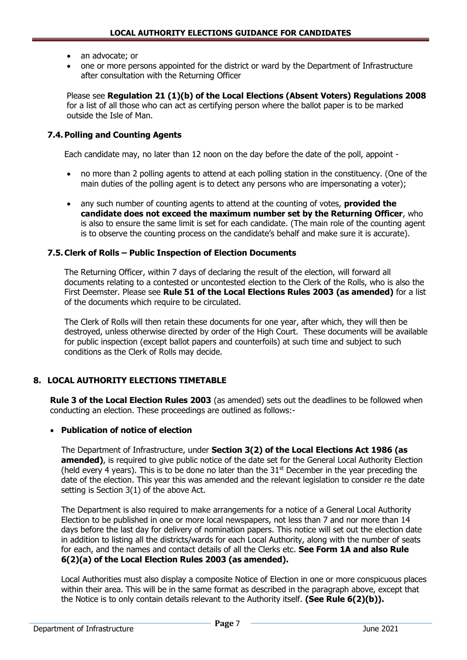- an advocate; or
- one or more persons appointed for the district or ward by the Department of Infrastructure after consultation with the Returning Officer

Please see **Regulation 21 (1)(b) of the Local Elections (Absent Voters) Regulations 2008** for a list of all those who can act as certifying person where the ballot paper is to be marked outside the Isle of Man.

# **7.4.Polling and Counting Agents**

Each candidate may, no later than 12 noon on the day before the date of the poll, appoint -

- no more than 2 polling agents to attend at each polling station in the constituency. (One of the main duties of the polling agent is to detect any persons who are impersonating a voter);
- any such number of counting agents to attend at the counting of votes, **provided the candidate does not exceed the maximum number set by the Returning Officer**, who is also to ensure the same limit is set for each candidate. (The main role of the counting agent is to observe the counting process on the candidate's behalf and make sure it is accurate).

# **7.5.Clerk of Rolls – Public Inspection of Election Documents**

The Returning Officer, within 7 days of declaring the result of the election, will forward all documents relating to a contested or uncontested election to the Clerk of the Rolls, who is also the First Deemster. Please see **Rule 51 of the Local Elections Rules 2003 (as amended)** for a list of the documents which require to be circulated.

The Clerk of Rolls will then retain these documents for one year, after which, they will then be destroyed, unless otherwise directed by order of the High Court. These documents will be available for public inspection (except ballot papers and counterfoils) at such time and subject to such conditions as the Clerk of Rolls may decide.

# **8. LOCAL AUTHORITY ELECTIONS TIMETABLE**

**Rule 3 of the Local Election Rules 2003** (as amended) sets out the deadlines to be followed when conducting an election. These proceedings are outlined as follows:-

# **Publication of notice of election**

The Department of Infrastructure, under **Section 3(2) of the Local Elections Act 1986 (as amended)**, is required to give public notice of the date set for the General Local Authority Election (held every 4 years). This is to be done no later than the  $31<sup>st</sup>$  December in the year preceding the date of the election. This year this was amended and the relevant legislation to consider re the date setting is Section 3(1) of the above Act.

The Department is also required to make arrangements for a notice of a General Local Authority Election to be published in one or more local newspapers, not less than 7 and nor more than 14 days before the last day for delivery of nomination papers. This notice will set out the election date in addition to listing all the districts/wards for each Local Authority, along with the number of seats for each, and the names and contact details of all the Clerks etc. **See Form 1A and also Rule 6(2)(a) of the Local Election Rules 2003 (as amended).**

Local Authorities must also display a composite Notice of Election in one or more conspicuous places within their area. This will be in the same format as described in the paragraph above, except that the Notice is to only contain details relevant to the Authority itself. **(See Rule 6(2)(b)).**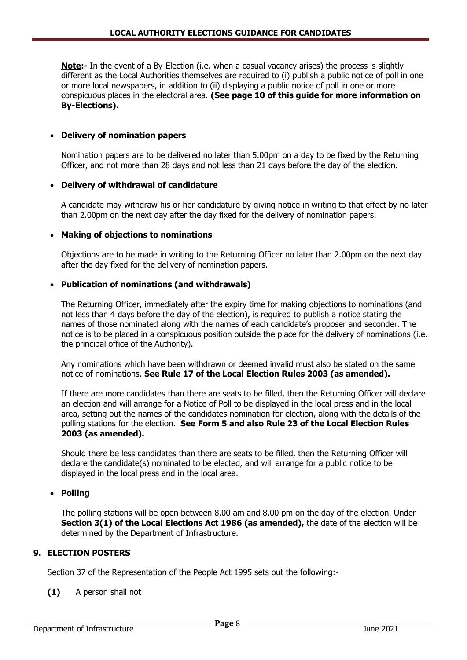**Note:-** In the event of a By-Election (i.e. when a casual vacancy arises) the process is slightly different as the Local Authorities themselves are required to (i) publish a public notice of poll in one or more local newspapers, in addition to (ii) displaying a public notice of poll in one or more conspicuous places in the electoral area. **(See page 10 of this guide for more information on By-Elections).**

# **Delivery of nomination papers**

Nomination papers are to be delivered no later than 5.00pm on a day to be fixed by the Returning Officer, and not more than 28 days and not less than 21 days before the day of the election.

#### **Delivery of withdrawal of candidature**

A candidate may withdraw his or her candidature by giving notice in writing to that effect by no later than 2.00pm on the next day after the day fixed for the delivery of nomination papers.

#### **Making of objections to nominations**

Objections are to be made in writing to the Returning Officer no later than 2.00pm on the next day after the day fixed for the delivery of nomination papers.

#### **Publication of nominations (and withdrawals)**

The Returning Officer, immediately after the expiry time for making objections to nominations (and not less than 4 days before the day of the election), is required to publish a notice stating the names of those nominated along with the names of each candidate's proposer and seconder. The notice is to be placed in a conspicuous position outside the place for the delivery of nominations (i.e. the principal office of the Authority).

Any nominations which have been withdrawn or deemed invalid must also be stated on the same notice of nominations. **See Rule 17 of the Local Election Rules 2003 (as amended).**

If there are more candidates than there are seats to be filled, then the Returning Officer will declare an election and will arrange for a Notice of Poll to be displayed in the local press and in the local area, setting out the names of the candidates nomination for election, along with the details of the polling stations for the election. **See Form 5 and also Rule 23 of the Local Election Rules 2003 (as amended).**

Should there be less candidates than there are seats to be filled, then the Returning Officer will declare the candidate(s) nominated to be elected, and will arrange for a public notice to be displayed in the local press and in the local area.

#### **Polling**

The polling stations will be open between 8.00 am and 8.00 pm on the day of the election. Under **Section 3(1) of the Local Elections Act 1986 (as amended),** the date of the election will be determined by the Department of Infrastructure.

# **9. ELECTION POSTERS**

Section 37 of the Representation of the People Act 1995 sets out the following:-

**(1)** A person shall not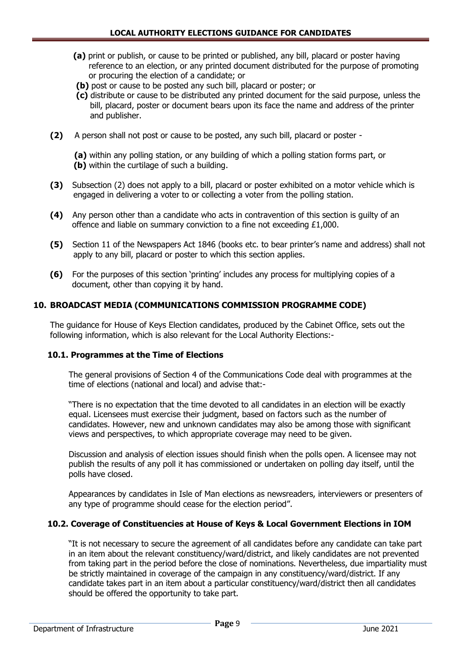- **(a)** print or publish, or cause to be printed or published, any bill, placard or poster having reference to an election, or any printed document distributed for the purpose of promoting or procuring the election of a candidate; or
- **(b)** post or cause to be posted any such bill, placard or poster; or
- **(c)** distribute or cause to be distributed any printed document for the said purpose, unless the bill, placard, poster or document bears upon its face the name and address of the printer and publisher.
- **(2)** A person shall not post or cause to be posted, any such bill, placard or poster -

 **(a)** within any polling station, or any building of which a polling station forms part, or  **(b)** within the curtilage of such a building.

- **(3)** Subsection (2) does not apply to a bill, placard or poster exhibited on a motor vehicle which is engaged in delivering a voter to or collecting a voter from the polling station.
- **(4)** Any person other than a candidate who acts in contravention of this section is guilty of an offence and liable on summary conviction to a fine not exceeding £1,000.
- **(5)** Section 11 of the Newspapers Act 1846 (books etc. to bear printer's name and address) shall not apply to any bill, placard or poster to which this section applies.
- **(6)** For the purposes of this section 'printing' includes any process for multiplying copies of a document, other than copying it by hand.

# **10. BROADCAST MEDIA (COMMUNICATIONS COMMISSION PROGRAMME CODE)**

The guidance for House of Keys Election candidates, produced by the Cabinet Office, sets out the following information, which is also relevant for the Local Authority Elections:-

# **10.1. Programmes at the Time of Elections**

The general provisions of Section 4 of the Communications Code deal with programmes at the time of elections (national and local) and advise that:-

"There is no expectation that the time devoted to all candidates in an election will be exactly equal. Licensees must exercise their judgment, based on factors such as the number of candidates. However, new and unknown candidates may also be among those with significant views and perspectives, to which appropriate coverage may need to be given.

Discussion and analysis of election issues should finish when the polls open. A licensee may not publish the results of any poll it has commissioned or undertaken on polling day itself, until the polls have closed.

Appearances by candidates in Isle of Man elections as newsreaders, interviewers or presenters of any type of programme should cease for the election period".

# **10.2. Coverage of Constituencies at House of Keys & Local Government Elections in IOM**

"It is not necessary to secure the agreement of all candidates before any candidate can take part in an item about the relevant constituency/ward/district, and likely candidates are not prevented from taking part in the period before the close of nominations. Nevertheless, due impartiality must be strictly maintained in coverage of the campaign in any constituency/ward/district. If any candidate takes part in an item about a particular constituency/ward/district then all candidates should be offered the opportunity to take part.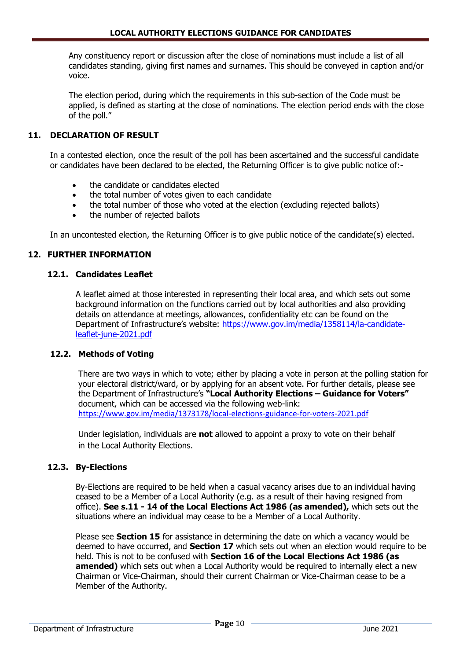Any constituency report or discussion after the close of nominations must include a list of all candidates standing, giving first names and surnames. This should be conveyed in caption and/or voice.

The election period, during which the requirements in this sub-section of the Code must be applied, is defined as starting at the close of nominations. The election period ends with the close of the poll."

# **11. DECLARATION OF RESULT**

In a contested election, once the result of the poll has been ascertained and the successful candidate or candidates have been declared to be elected, the Returning Officer is to give public notice of:-

- the candidate or candidates elected
- the total number of votes given to each candidate
- the total number of those who voted at the election (excluding rejected ballots)
- the number of rejected ballots

In an uncontested election, the Returning Officer is to give public notice of the candidate(s) elected.

# **12. FURTHER INFORMATION**

#### **12.1. Candidates Leaflet**

A leaflet aimed at those interested in representing their local area, and which sets out some background information on the functions carried out by local authorities and also providing details on attendance at meetings, allowances, confidentiality etc can be found on the Department of Infrastructure's website: [https://www.gov.im/media/1358114/la-candidate](https://www.gov.im/media/1358114/la-candidate-leaflet-june-2021.pdf)[leaflet-june-2021.pdf](https://www.gov.im/media/1358114/la-candidate-leaflet-june-2021.pdf)

#### **12.2. Methods of Voting**

There are two ways in which to vote; either by placing a vote in person at the polling station for your electoral district/ward, or by applying for an absent vote. For further details, please see the Department of Infrastructure's **"Local Authority Elections – Guidance for Voters"** document, which can be accessed via the following web-link: <https://www.gov.im/media/1373178/local-elections-guidance-for-voters-2021.pdf>

Under legislation, individuals are **not** allowed to appoint a proxy to vote on their behalf in the Local Authority Elections.

# **12.3. By-Elections**

By-Elections are required to be held when a casual vacancy arises due to an individual having ceased to be a Member of a Local Authority (e.g. as a result of their having resigned from office). **See s.11 - 14 of the Local Elections Act 1986 (as amended),** which sets out the situations where an individual may cease to be a Member of a Local Authority.

Please see **Section 15** for assistance in determining the date on which a vacancy would be deemed to have occurred, and **Section 17** which sets out when an election would require to be held. This is not to be confused with **Section 16 of the Local Elections Act 1986 (as amended)** which sets out when a Local Authority would be required to internally elect a new Chairman or Vice-Chairman, should their current Chairman or Vice-Chairman cease to be a Member of the Authority.